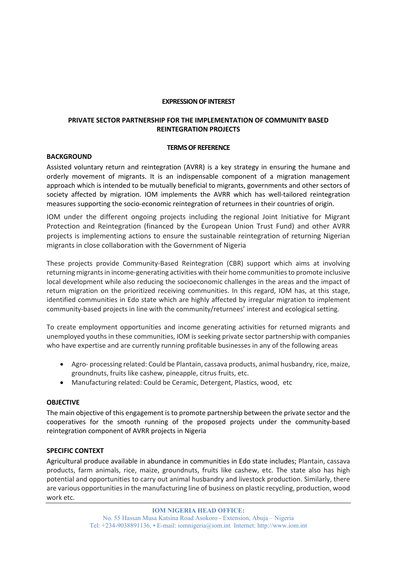#### **EXPRESSION OF INTEREST**

# **PRIVATE SECTOR PARTNERSHIP FOR THE IMPLEMENTATION OF COMMUNITY BASED REINTEGRATION PROJECTS**

#### **TERMS OF REFERENCE**

## **BACKGROUND**

Assisted voluntary return and reintegration (AVRR) is a key strategy in ensuring the humane and orderly movement of migrants. It is an indispensable component of a migration management approach which is intended to be mutually beneficial to migrants, governments and other sectors of society affected by migration. IOM implements the AVRR which has well-tailored reintegration measures supporting the socio‐economic reintegration of returnees in their countries of origin.

IOM under the different ongoing projects including the regional Joint Initiative for Migrant Protection and Reintegration (financed by the European Union Trust Fund) and other AVRR projects is implementing actions to ensure the sustainable reintegration of returning Nigerian migrants in close collaboration with the Government of Nigeria

These projects provide Community-Based Reintegration (CBR) support which aims at involving returning migrants in income‐generating activities with their home communities to promote inclusive local development while also reducing the socioeconomic challenges in the areas and the impact of return migration on the prioritized receiving communities. In this regard, IOM has, at this stage, identified communities in Edo state which are highly affected by irregular migration to implement community-based projects in line with the community/returnees' interest and ecological setting.

To create employment opportunities and income generating activities for returned migrants and unemployed youths in these communities, IOM is seeking private sector partnership with companies who have expertise and are currently running profitable businesses in any of the following areas

- Agro- processing related: Could be Plantain, cassava products, animal husbandry, rice, maize, groundnuts, fruits like cashew, pineapple, citrus fruits, etc.
- Manufacturing related: Could be Ceramic, Detergent, Plastics, wood, etc

## **OBJECTIVE**

The main objective of this engagement is to promote partnership between the private sector and the cooperatives for the smooth running of the proposed projects under the community-based reintegration component of AVRR projects in Nigeria

## **SPECIFIC CONTEXT**

Agricultural produce available in abundance in communities in Edo state includes; Plantain, cassava products, farm animals, rice, maize, groundnuts, fruits like cashew, etc. The state also has high potential and opportunities to carry out animal husbandry and livestock production. Similarly, there are various opportunities in the manufacturing line of business on plastic recycling, production, wood work etc.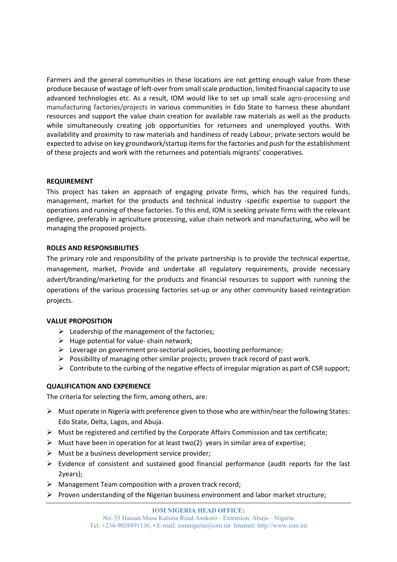Farmers and the general communities in these locations are not getting enough value from these produce because of wastage of left‐over from small scale production, limited financial capacity to use advanced technologies etc. As a result, IOM would like to set up small scale agro-processing and manufacturing factories/projects in various communities in Edo State to harness these abundant resources and support the value chain creation for available raw materials as well as the products while simultaneously creating job opportunities for returnees and unemployed youths. With availability and proximity to raw materials and handiness of ready Labour, private sectors would be expected to advise on key groundwork/startup items for the factories and push for the establishment of these projects and work with the returnees and potentials migrants' cooperatives.

### **REQUIREMENT**

This project has taken an approach of engaging private firms, which has the required funds, management, market for the products and technical industry -specific expertise to support the operations and running of these factories. To this end, IOM is seeking private firms with the relevant pedigree, preferably in agriculture processing, value chain network and manufacturing, who will be managing the proposed projects.

### **ROLES AND RESPONSIBILITIES**

The primary role and responsibility of the private partnership is to provide the technical expertise, management, market, Provide and undertake all regulatory requirements, provide necessary advert/branding/marketing for the products and financial resources to support with running the operations of the various processing factories set‐up or any other community based reintegration projects.

## **VALUE PROPOSITION**

- $\triangleright$  Leadership of the management of the factories;
- $\triangleright$  Huge potential for value-chain network;
- $\triangleright$  Leverage on government pro-sectorial policies, boosting performance;
- $\triangleright$  Possibility of managing other similar projects; proven track record of past work.
- $\triangleright$  Contribute to the curbing of the negative effects of irregular migration as part of CSR support;

## **QUALIFICATION AND EXPERIENCE**

The criteria for selecting the firm, among others, are:

- $\triangleright$  Must operate in Nigeria with preference given to those who are within/near the following States: Edo State, Delta, Lagos, and Abuja.
- $\triangleright$  Must be registered and certified by the Corporate Affairs Commission and tax certificate;
- $\triangleright$  Must have been in operation for at least two(2) years in similar area of expertise;
- $\triangleright$  Must be a business development service provider;
- $\triangleright$  Evidence of consistent and sustained good financial performance (audit reports for the last 2years);
- $\triangleright$  Management Team composition with a proven track record;
- $\triangleright$  Proven understanding of the Nigerian business environment and labor market structure;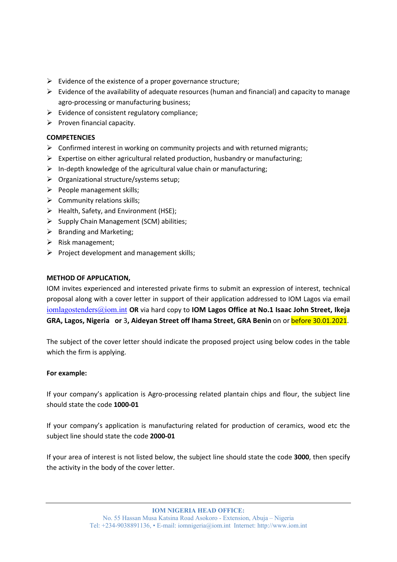- $\triangleright$  Evidence of the existence of a proper governance structure;
- $\triangleright$  Evidence of the availability of adequate resources (human and financial) and capacity to manage agro‐processing or manufacturing business;
- $\triangleright$  Evidence of consistent regulatory compliance;
- $\triangleright$  Proven financial capacity.

# **COMPETENCIES**

- $\triangleright$  Confirmed interest in working on community projects and with returned migrants;
- $\triangleright$  Expertise on either agricultural related production, husbandry or manufacturing;
- $\triangleright$  In-depth knowledge of the agricultural value chain or manufacturing;
- $\triangleright$  Organizational structure/systems setup:
- $\triangleright$  People management skills;
- $\triangleright$  Community relations skills;
- $\triangleright$  Health, Safety, and Environment (HSE);
- $\triangleright$  Supply Chain Management (SCM) abilities;
- $\triangleright$  Branding and Marketing;
- $\triangleright$  Risk management;
- $\triangleright$  Project development and management skills;

# **METHOD OF APPLICATION,**

IOM invites experienced and interested private firms to submit an expression of interest, technical proposal along with a cover letter in support of their application addressed to IOM Lagos via email iomlagostenders@iom.int **OR** via hard copy to **IOM Lagos Office at No.1 Isaac John Street, Ikeja GRA, Lagos, Nigeria or** 3**, Aideyan Street off Ihama Street, GRA Benin** on or before 30.01.2021.

The subject of the cover letter should indicate the proposed project using below codes in the table which the firm is applying.

## **For example:**

If your company's application is Agro-processing related plantain chips and flour, the subject line should state the code **1000‐01** 

If your company's application is manufacturing related for production of ceramics, wood etc the subject line should state the code **2000‐01** 

If your area of interest is not listed below, the subject line should state the code **3000**, then specify the activity in the body of the cover letter.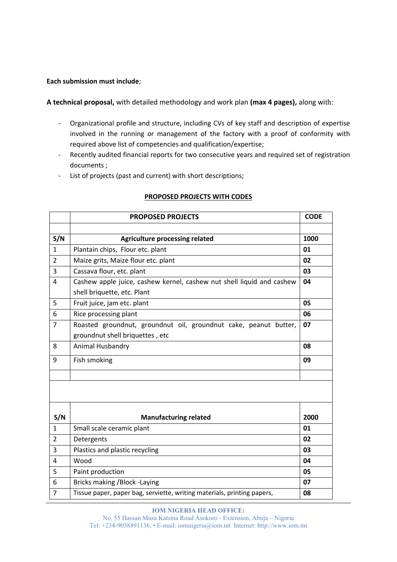### **Each submission must include**;

**A technical proposal,** with detailed methodology and work plan **(max 4 pages),** along with:

- ‐ Organizational profile and structure, including CVs of key staff and description of expertise involved in the running or management of the factory with a proof of conformity with required above list of competencies and qualification/expertise;
- ‐ Recently audited financial reports for two consecutive years and required set of registration documents ;
- ‐ List of projects (past and current) with short descriptions;

|                | <b>PROPOSED PROJECTS</b>                                                | <b>CODE</b> |
|----------------|-------------------------------------------------------------------------|-------------|
|                |                                                                         |             |
| S/N            | <b>Agriculture processing related</b>                                   | 1000        |
| $\mathbf{1}$   | Plantain chips, Flour etc. plant                                        | 01          |
| $\overline{2}$ | Maize grits, Maize flour etc. plant                                     | 02          |
| 3              | Cassava flour, etc. plant                                               | 03          |
| 4              | Cashew apple juice, cashew kernel, cashew nut shell liquid and cashew   | 04          |
|                | shell briquette, etc. Plant                                             |             |
| 5              | Fruit juice, jam etc. plant                                             | 05          |
| 6              | Rice processing plant                                                   | 06          |
| 7              | Roasted groundnut, groundnut oil, groundnut cake, peanut butter,        | 07          |
|                | groundnut shell briquettes, etc                                         |             |
| 8              | Animal Husbandry                                                        | 08          |
| 9              | Fish smoking                                                            | 09          |
|                |                                                                         |             |
|                |                                                                         |             |
| S/N            | <b>Manufacturing related</b>                                            | 2000        |
| $\mathbf{1}$   | Small scale ceramic plant                                               | 01          |
| $\overline{2}$ | Detergents                                                              | 02          |
| 3              | Plastics and plastic recycling                                          | 03          |
| 4              | Wood                                                                    | 04          |
| 5              | Paint production                                                        | 05          |
| 6              | Bricks making / Block - Laying                                          | 07          |
| $\overline{7}$ | Tissue paper, paper bag, serviette, writing materials, printing papers, | 08          |

#### **PROPOSED PROJECTS WITH CODES**

#### **IOM NIGERIA HEAD OFFICE:**

No. 55 Hassan Musa Katsina Road Asokoro - Extension, Abuja – Nigeria Tel: +234-9038891136, • E-mail: iomnigeria@iom.int Internet: http://www.iom.int